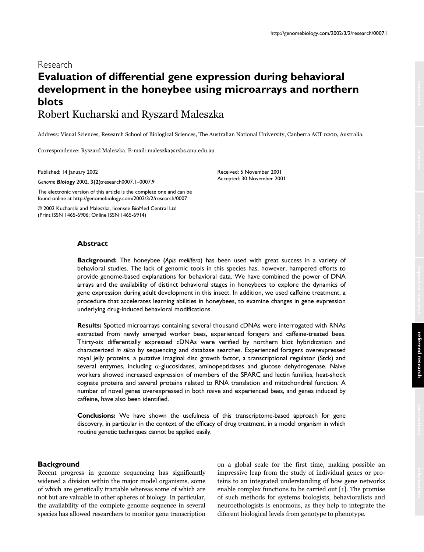# Research **Evaluation of differential gene expression during behavioral development in the honeybee using microarrays and northern blots** Robert Kucharski and Ryszard Maleszka

Address: Visual Sciences, Research School of Biological Sciences, The Australian National University, Canberra ACT 0200, Australia.

**Background:** The honeybee (*Apis mellifera*) has been used with great success in a variety of behavioral studies. The lack of genomic tools in this species has, however, hampered efforts to provide genome-based explanations for behavioral data. We have combined the power of DNA arrays and the availability of distinct behavioral stages in honeybees to explore the dynamics of gene expression during adult development in this insect. In addition, we used caffeine treatment, a procedure that accelerates learning abilities in honeybees, to examine changes in gene expression

**Results:** Spotted microarrays containing several thousand cDNAs were interrogated with RNAs extracted from newly emerged worker bees, experienced foragers and caffeine-treated bees. Thirty-six differentially expressed cDNAs were verified by northern blot hybridization and characterized *in silico* by sequencing and database searches. Experienced foragers overexpressed royal jelly proteins, a putative imaginal disc growth factor, a transcriptional regulator (Stck) and several enzymes, including  $\alpha$ -glucosidases, aminopeptidases and glucose dehydrogenase. Naive workers showed increased expression of members of the SPARC and lectin families, heat-shock cognate proteins and several proteins related to RNA translation and mitochondrial function. A number of novel genes overexpressed in both naive and experienced bees, and genes induced by

**Conclusions:** We have shown the usefulness of this transcriptome-based approach for gene discovery, in particular in the context of the efficacy of drug treatment, in a model organism in which

Correspondence: Ryszard Maleszka. E-mail: maleszka@rsbs.anu.edu.au

underlying drug-induced behavioral modifications.

routine genetic techniques cannot be applied easily.

Published: 14 January 2002

*Genome Biology* 2002, **3(2)**:research0007.1–0007.9

The electronic version of this article is the complete one and can be found online at http://genomebiology.com/2002/3/2/research/0007

© 2002 Kucharski and Maleszka, licensee BioMed Central Ltd (Print ISSN 1465-6906; Online ISSN 1465-6914)

Received: 5 November 2001 Accepted: 30 November 2001

# **Abstract**

**Background**

Recent progress in genome sequencing has significantly widened a division within the major model organisms, some of which are genetically tractable whereas some of which are not but are valuable in other spheres of biology. In particular, the availability of the complete genome sequence in several species has allowed researchers to monitor gene transcription

caffeine, have also been identified.

on a global scale for the first time, making possible an impressive leap from the study of individual genes or proteins to an integrated understanding of how gene networks enable complex functions to be carried out [1]. The promise of such methods for systems biologists, behavioralists and neuroethologists is enormous, as they help to integrate the diferent biological levels from genotype to phenotype.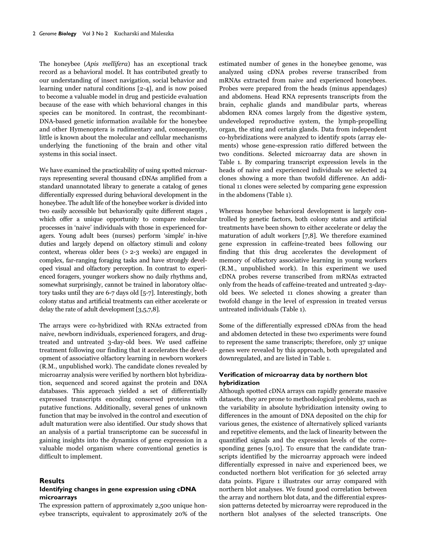The honeybee (Apis mellifera) has an exceptional track record as a behavioral model. It has contributed greatly to our understanding of insect navigation, social behavior and learning under natural conditions [2-4], and is now poised to become a valuable model in drug and pesticide evaluation because of the ease with which behavioral changes in this species can be monitored. In contrast, the recombinant-DNA-based genetic information available for the honeybee and other Hymenoptera is rudimentary and, consequently, little is known about the molecular and cellular mechanisms underlying the functioning of the brain and other vital systems in this social insect.

We have examined the practicability of using spotted microarrays representing several thousand cDNAs amplified from a standard unannotated library to generate a catalog of genes differentially expressed during behavioral development in the honeybee. The adult life of the honeybee worker is divided into two easily accessible but behaviorally quite different stages , which offer a unique opportunity to compare molecular processes in 'naive' individuals with those in experienced foragers. Young adult bees (nurses) perform 'simple' in-hive duties and largely depend on olfactory stimuli and colony context, whereas older bees (> 2-3 weeks) are engaged in complex, far-ranging foraging tasks and have strongly developed visual and olfactory perception. In contrast to experienced foragers, younger workers show no daily rhythms and, somewhat surprisingly, cannot be trained in laboratory olfactory tasks until they are 6-7 days old [5-7]. Interestingly, both colony status and artificial treatments can either accelerate or delay the rate of adult development [3,5,7,8].

The arrays were co-hybridized with RNAs extracted from naive, newborn individuals, experienced foragers, and drugtreated and untreated 3-day-old bees. We used caffeine treatment following our finding that it accelerates the development of associative olfactory learning in newborn workers (R.M., unpublished work). The candidate clones revealed by microarray analysis were verified by northern blot hybridization, sequenced and scored against the protein and DNA databases. This approach yielded a set of differentially expressed transcripts encoding conserved proteins with putative functions. Additionally, several genes of unknown function that may be involved in the control and execution of adult maturation were also identified. Our study shows that an analysis of a partial transcriptome can be successful in gaining insights into the dynamics of gene expression in a valuable model organism where conventional genetics is difficult to implement.

# **Results**

# **Identifying changes in gene expression using cDNA microarrays**

The expression pattern of approximately 2,500 unique honeybee transcripts, equivalent to approximately 20% of the estimated number of genes in the honeybee genome, was analyzed using cDNA probes reverse transcribed from mRNAs extracted from naive and experienced honeybees. Probes were prepared from the heads (minus appendages) and abdomens. Head RNA represents transcripts from the brain, cephalic glands and mandibular parts, whereas abdomen RNA comes largely from the digestive system, undeveloped reproductive system, the lymph-propelling organ, the sting and certain glands. Data from independent co-hybridizations were analyzed to identify spots (array elements) whose gene-expression ratio differed between the two conditions. Selected microarray data are shown in Table 1. By comparing transcript expression levels in the heads of naive and experienced individuals we selected 24 clones showing a more than twofold difference. An additional 11 clones were selected by comparing gene expression in the abdomens (Table 1).

Whereas honeybee behavioral development is largely controlled by genetic factors, both colony status and artificial treatments have been shown to either accelerate or delay the maturation of adult workers [7,8]. We therefore examined gene expression in caffeine-treated bees following our finding that this drug accelerates the development of memory of olfactory associative learning in young workers (R.M., unpublished work). In this experiment we used cDNA probes reverse transcribed from mRNAs extracted only from the heads of caffeine-treated and untreated 3-dayold bees. We selected 11 clones showing a greater than twofold change in the level of expression in treated versus untreated individuals (Table 1).

Some of the differentially expressed cDNAs from the head and abdomen detected in these two experiments were found to represent the same transcripts; therefore, only 37 unique genes were revealed by this approach, both upregulated and downregulated, and are listed in Table 1.

# **Verification of microarray data by northern blot hybridization**

Although spotted cDNA arrays can rapidly generate massive datasets, they are prone to methodological problems, such as the variability in absolute hybridization intensity owing to differences in the amount of DNA deposited on the chip for various genes, the existence of alternatively spliced variants and repetitive elements, and the lack of linearity between the quantified signals and the expression levels of the corresponding genes [9,10]. To ensure that the candidate transcripts identified by the microarray approach were indeed differentially expressed in naive and experienced bees, we conducted northern blot verification for 36 selected array data points. Figure 1 illustrates our array compared with northern blot analyses. We found good correlation between the array and northern blot data, and the differential expression patterns detected by microarray were reproduced in the northern blot analyses of the selected transcripts. One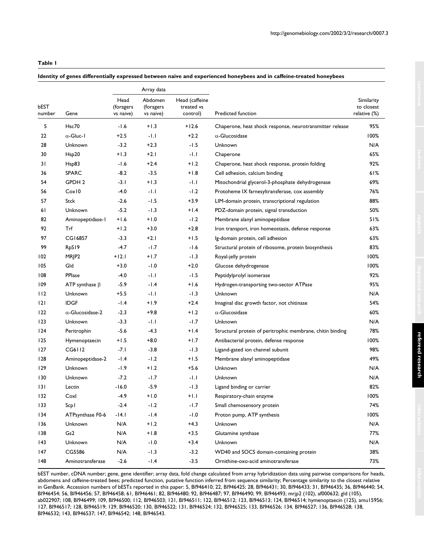# **Table 1**

# **Identity of genes differentially expressed between naive and experienced honeybees and in caffeine-treated honeybees**

| bEST<br>number | Gene                    | Array data                     |                                   |                                          |                                                            |                                          |
|----------------|-------------------------|--------------------------------|-----------------------------------|------------------------------------------|------------------------------------------------------------|------------------------------------------|
|                |                         | Head<br>(foragers<br>vs naive) | Abdomen<br>(foragers<br>vs naive) | Head (caffeine<br>treated vs<br>control) | Predicted function                                         | Similarity<br>to closest<br>relative (%) |
| 5              | Hsc70                   | -1.6                           | $+1.3$                            | $+12.6$                                  | Chaperone, heat shock response, neurotransmitter release   | 95%                                      |
| 22             | $\alpha$ -Gluc-1        | $+2.5$                         | -1.1                              | $+2.2$                                   | $\alpha$ -Glucosidase                                      | 100%                                     |
| 28             | Unknown                 | $-3.2$                         | $+2.3$                            | $-1.5$                                   | Unknown                                                    | N/A                                      |
| 30             | Hsp20                   | $+1.3$                         | $+2.1$                            | -1.1                                     | Chaperone                                                  | 65%                                      |
| 31             | Hsp83                   | -1.6                           | $+2.4$                            | $+1.2$                                   | Chaperone, heat shock response, protein folding            | 92%                                      |
| 36             | <b>SPARC</b>            | $-8.2$                         | $-3.5$                            | $+1.8$                                   | Cell adhesion, calcium binding                             | 61%                                      |
| 54             | GPDH 2                  | $-3.1$                         | $+1.3$                            | -1.1                                     | Mitochondrial glycerol-3-phosphate dehydrogenase           | 69%                                      |
| 56             | Cox10                   | $-4.0$                         | -1.1                              | $-1.2$                                   | Protoheme IX farnesyltransferase, cox assembly             | 76%                                      |
| 57             | <b>Stck</b>             | $-2.6$                         | -1.5                              | $+3.9$                                   | LIM-domain protein, transcriptional regulation             | 88%                                      |
| 61             | Unknown                 | $-5.2$                         | -1.3                              | $+1.4$                                   | PDZ-domain protein, signal transduction                    | 50%                                      |
| 82             | Aminopeptidase-1        | $+1.6$                         | $0.1 +$                           | $-1.2$                                   | Membrane alanyl aminopeptidase                             | 51%                                      |
| 92             | Trf                     | $+1.2$                         | $+3.0$                            | $+2.8$                                   | Iron transport, iron homeostasis, defense response         | 63%                                      |
| 97             | CG16857                 | $-3.3$                         | $+2.1$                            | $+1.5$                                   | lg-domain protein, cell adhesion                           | 63%                                      |
| 99             | RpS19                   | -4.7                           | $-1.7$                            | $-1.6$                                   | Structural protein of ribosome, protein biosynthesis       | 83%                                      |
| 102            | MRJP2                   | $+12.1$                        | $+1.7$                            | $-1.3$                                   | Royal-jelly protein                                        | 100%                                     |
| 105            | Gld                     | $+3.0$                         | $-1.0$                            | $+2.0$                                   | Glucose dehydrogenase                                      | 100%                                     |
| 108            | PPlase                  | $-4.0$                         | -1.1                              | -1.5                                     | Peptidylprolyl isomerase                                   | 92%                                      |
| 109            | ATP synthase $\beta$    | $-5.9$                         | -1.4                              | $+1.6$                                   | Hydrogen-transporting two-sector ATPase                    | 95%                                      |
| 112            | Unknown                 | $+5.5$                         | -1.1                              | $-1.3$                                   | Unknown                                                    | N/A                                      |
| 2              | <b>IDGF</b>             | $-1.4$                         | $+1.9$                            | $+2.4$                                   | Imaginal disc growth factor, not chitinase                 | 54%                                      |
| 122            | $\alpha$ -Glucosidase-2 | $-2.3$                         | +9.8                              | $+1.2$                                   | $\alpha$ -Glucosidase                                      | 60%                                      |
| 123            | Unknown                 | $-3.3$                         | -1.1                              | $-1.7$                                   | Unknown                                                    | N/A                                      |
| 124            | Peritrophin             | $-5.6$                         | $-4.3$                            | $+1.4$                                   | Structural protein of peritrophic membrane, chitin binding | 78%                                      |
| 125            | Hymenoptaecin           | $+1.5$                         | $+8.0$                            | $+1.7$                                   | Antibacterial protein, defense response                    | 100%                                     |
| 127            | CG6112                  | $-7.1$                         | $-3.8$                            | $-1.3$                                   | Ligand-gated ion channel subunit                           | 98%                                      |
| 128            | Aminopeptidase-2        | $-1.4$                         | $-1.2$                            | $+1.5$                                   | Membrane alanyl aminopeptidase                             | 49%                                      |
| 129            | Unknown                 | $-1.9$                         | $+1.2$                            | $+5.6$                                   | Unknown                                                    | N/A                                      |
| 130            | Unknown                 | $-7.2$                         | $-1.7$                            | -1.1                                     | Unknown                                                    | N/A                                      |
| 131            | Lectin                  | $-16.0$                        | -5.9                              | $-1.3$                                   | Ligand binding or carrier                                  | 82%                                      |
| 132            | Coxl                    | $-4.9$                         | $+1.0$                            | $+1.1$                                   | Respiratory-chain enzyme                                   | 100%                                     |
| 133            | Scp1                    | $-2.4$                         | $-1.2$                            | -1.7                                     | Small chemosensory protein                                 | 74%                                      |
| 134            | ATPsynthase F0-6        | $-14.1$                        | $-1.4$                            | $-1.0$                                   | Proton pump, ATP synthesis                                 | 100%                                     |
| 136            | Unknown                 | N/A                            | $+1.2$                            | $+4.3$                                   | Unknown                                                    | N/A                                      |
| 138            | Gs2                     | N/A                            | $+1.8$                            | $+3.5$                                   | Glutamine synthase                                         | 77%                                      |
| 143            | Unknown                 | N/A                            | $-1.0$                            | $+3.4$                                   | Unknown                                                    | N/A                                      |
| 147            | CG5586                  | N/A                            | $-1.3$                            | $-3.2$                                   | WD40 and SOCS domain-containing protein                    | 38%                                      |
| 148            | Aminotransferase        | $-2.6$                         | $-1.4$                            | $-3.5$                                   | Ornithine-oxo-acid aminotransferase                        | 73%                                      |

bEST number, cDNA number; gene, gene identifier; array data, fold change calculated from array hybridization data using pairwise comparisons for heads, abdomens and caffeine-treated bees; predicted function, putative function inferred from sequence similarity; Percentage similarity to the closest relative in GenBank. Accession numbers of bESTs reported in this paper: 5, BI946410; 22, BI946425; 28, BI946431; 30, BI946433; 31, BI946435; 36, BI946440; 54, BI946454; 56, BI946456; 57, BI946458; 61, BI946461; 82, BI946480; 92, BI946487; 97, BI946490; 99, BI946493; mrjp2 (102), af000632; gld (105), ab022907; 108, BI946499; 109, BI946500; 112, BI946503; 121, BI946511; 122, BI946512; 123, BI946513; 124, BI946514; hymenoptaecin (125), amu15956; 127, BI946517; 128, BI946519; 129, BI946520; 130, BI946522; 131, BI946524; 132, BI946525; 133, BI946526; 134, BI946527; 136, BI946528; 138, BI946532; 143, BI946537; 147, BI946542; 148, BI946543.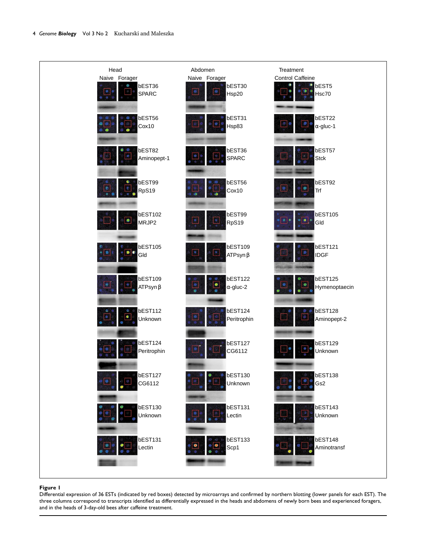

## **Figure 1**

Differential expression of 36 ESTs (indicated by red boxes) detected by microarrays and confirmed by northern blotting (lower panels for each EST). The three columns correspond to transcripts identified as differentially expressed in the heads and abdomens of newly born bees and experienced foragers, and in the heads of 3-day-old bees after caffeine treatment.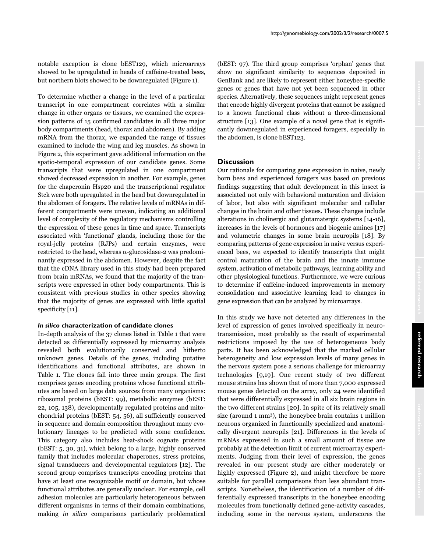notable exception is clone bEST129, which microarrays showed to be upregulated in heads of caffeine-treated bees, but northern blots showed to be downregulated (Figure 1).

To determine whether a change in the level of a particular transcript in one compartment correlates with a similar change in other organs or tissues, we examined the expression patterns of 15 confirmed candidates in all three major body compartments (head, thorax and abdomen). By adding mRNA from the thorax, we expanded the range of tissues examined to include the wing and leg muscles. As shown in Figure 2, this experiment gave additional information on the spatio-temporal expression of our candidate genes. Some transcripts that were upregulated in one compartment showed decreased expression in another. For example, genes for the chaperonin Hsp20 and the transcriptional regulator Stck were both upregulated in the head but downregulated in the abdomen of foragers. The relative levels of mRNAs in different compartments were uneven, indicating an additional level of complexity of the regulatory mechanisms controlling the expression of these genes in time and space. Transcripts associated with 'functional' glands, including those for the royal-jelly proteins (RJPs) and certain enzymes, were restricted to the head, whereas  $\alpha$ -glucosidase-2 was predominantly expressed in the abdomen. However, despite the fact that the cDNA library used in this study had been prepared from brain mRNAs, we found that the majority of the transcripts were expressed in other body compartments. This is consistent with previous studies in other species showing that the majority of genes are expressed with little spatial specificity [11].

## *In silico* **characterization of candidate clones**

In-depth analysis of the 37 clones listed in Table 1 that were detected as differentially expressed by microarray analysis revealed both evolutionarily conserved and hitherto unknown genes. Details of the genes, including putative identifications and functional attributes, are shown in Table 1. The clones fall into three main groups. The first comprises genes encoding proteins whose functional attributes are based on large data sources from many organisms: ribosomal proteins (bEST: 99), metabolic enzymes (bEST: 22, 105, 138), developmentally regulated proteins and mitochondrial proteins (bEST: 54, 56), all sufficiently conserved in sequence and domain composition throughout many evolutionary lineages to be predicted with some confidence. This category also includes heat-shock cognate proteins (bEST: 5, 30, 31), which belong to a large, highly conserved family that includes molecular chaperones, stress proteins, signal transducers and developmental regulators [12]. The second group comprises transcripts encoding proteins that have at least one recognizable motif or domain, but whose functional attributes are generally unclear. For example, cell adhesion molecules are particularly heterogeneous between different organisms in terms of their domain combinations, making in silico comparisons particularly problematical (bEST: 97). The third group comprises 'orphan' genes that show no significant similarity to sequences deposited in GenBank and are likely to represent either honeybee-specific genes or genes that have not yet been sequenced in other species. Alternatively, these sequences might represent genes that encode highly divergent proteins that cannot be assigned to a known functional class without a three-dimensional structure [13]. One example of a novel gene that is significantly downregulated in experienced foragers, especially in the abdomen, is clone bEST123.

http://genomebiology.com/2002/3/2/research/0007.5

## **Discussion**

Our rationale for comparing gene expression in naive, newly born bees and experienced foragers was based on previous findings suggesting that adult development in this insect is associated not only with behavioral maturation and division of labor, but also with significant molecular and cellular changes in the brain and other tissues. These changes include alterations in cholinergic and glutamatergic systems [14-16], increases in the levels of hormones and biogenic amines [17] and volumetric changes in some brain neuropils [18]. By comparing patterns of gene expression in naive versus experienced bees, we expected to identify transcripts that might control maturation of the brain and the innate immune system, activation of metabolic pathways, learning ability and other physiological functions. Furthermore, we were curious to determine if caffeine-induced improvements in memory consolidation and associative learning lead to changes in gene expression that can be analyzed by microarrays.

In this study we have not detected any differences in the level of expression of genes involved specifically in neurotransmission, most probably as the result of experimental restrictions imposed by the use of heterogeneous body parts. It has been acknowledged that the marked cellular heterogeneity and low expression levels of many genes in the nervous system pose a serious challenge for microarray technologies [9,19]. One recent study of two different mouse strains has shown that of more than 7,000 expressed mouse genes detected on the array, only 24 were identified that were differentially expressed in all six brain regions in the two different strains [20]. In spite of its relatively small size (around 1 mm3), the honeybee brain contains 1 million neurons organized in functionally specialized and anatomically divergent neuropils [21]. Differences in the levels of mRNAs expressed in such a small amount of tissue are probably at the detection limit of current microarray experiments. Judging from their level of expression, the genes revealed in our present study are either moderately or highly expressed (Figure 2), and might therefore be more suitable for parallel comparisons than less abundant transcripts. Nonetheless, the identification of a number of differentially expressed transcripts in the honeybee encoding molecules from functionally defined gene-activity cascades, including some in the nervous system, underscores the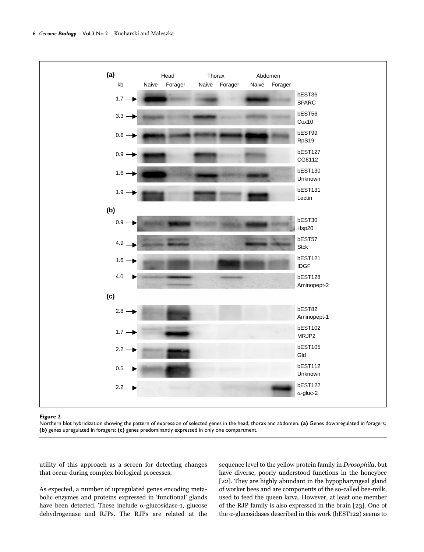

#### **Figure 2**

Northern blot hybridization showing the pattern of expression of selected genes in the head, thorax and abdomen. **(a)** Genes downregulated in foragers; **(b)** genes upregulated in foragers; **(c)** genes predominantly expressed in only one compartment.

utility of this approach as a screen for detecting changes that occur during complex biological processes.

As expected, a number of upregulated genes encoding metabolic enzymes and proteins expressed in 'functional' glands have been detected. These include  $\alpha$ -glucosidase-1, glucose dehydrogenase and RJPs. The RJPs are related at the sequence level to the yellow protein family in *Drosophila*, but have diverse, poorly understood functions in the honeybee [22]. They are highly abundant in the hypopharyngeal gland of worker bees and are components of the so-called bee-milk, used to feed the queen larva. However, at least one member of the RJP family is also expressed in the brain [23]. One of the  $\alpha$ -glucosidases described in this work (bEST122) seems to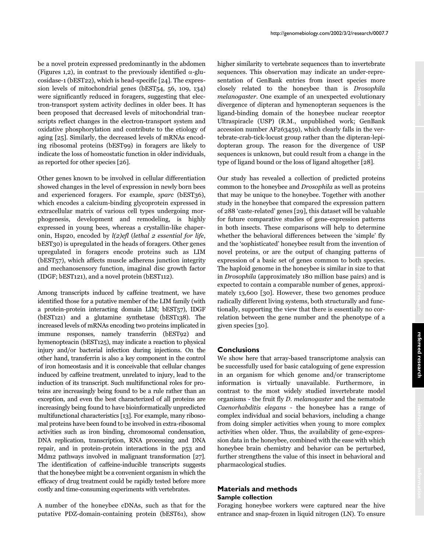be a novel protein expressed predominantly in the abdomen (Figures 1,2), in contrast to the previously identified  $\alpha$ -glucosidase-1 (bEST22), which is head-specific [24]. The expression levels of mitochondrial genes (bEST54, 56, 109, 134) were significantly reduced in foragers, suggesting that electron-transport system activity declines in older bees. It has been proposed that decreased levels of mitochondrial transcripts reflect changes in the electron-transport system and oxidative phosphorylation and contribute to the etiology of aging [25]. Similarly, the decreased levels of mRNAs encoding ribosomal proteins (bEST99) in foragers are likely to indicate the loss of homeostatic function in older individuals, as reported for other species [26].

Other genes known to be involved in cellular differentiation showed changes in the level of expression in newly born bees and experienced foragers. For example, sparc (bEST36), which encodes a calcium-binding glycoprotein expressed in extracellular matrix of various cell types undergoing morphogenesis, development and remodeling, is highly expressed in young bees, whereas a crystallin-like chaperonin, Hsp20, encoded by l(2)efl (lethal 2 essential for life, bEST30) is upregulated in the heads of foragers. Other genes upregulated in foragers encode proteins such as LIM (bEST57), which affects muscle adherens junction integrity and mechanosensory function, imaginal disc growth factor (IDGF; bEST121), and a novel protein (bEST112).

Among transcripts induced by caffeine treatment, we have identified those for a putative member of the LIM family (with a protein-protein interacting domain LIM; bEST57), IDGF (bEST121) and a glutamine synthetase (bEST138). The increased levels of mRNAs encoding two proteins implicated in immune responses, namely transferrin (bEST92) and hymenopteacin (bEST125), may indicate a reaction to physical injury and/or bacterial infection during injections. On the other hand, transferrin is also a key component in the control of iron homeostasis and it is conceivable that cellular changes induced by caffeine treatment, unrelated to injury, lead to the induction of its transcript. Such multifunctional roles for proteins are increasingly being found to be a rule rather than an exception, and even the best characterized of all proteins are increasingly being found to have bioinformatically unpredicted multifunctional characteristics [13]. For example, many ribosomal proteins have been found to be involved in extra-ribosomal activities such as iron binding, chromosomal condensation, DNA replication, transcription, RNA processing and DNA repair, and in protein-protein interactions in the p53 and Mdm2 pathways involved in malignant transformation [27]. The identification of caffeine-inducible transcripts suggests that the honeybee might be a convenient organism in which the efficacy of drug treatment could be rapidly tested before more costly and time-consuming experiments with vertebrates.

A number of the honeybee cDNAs, such as that for the putative PDZ-domain-containing protein (bEST61), show higher similarity to vertebrate sequences than to invertebrate sequences. This observation may indicate an under-representation of GenBank entries from insect species more closely related to the honeybee than is Drosophila melanogaster. One example of an unexpected evolutionary divergence of dipteran and hymenopteran sequences is the ligand-binding domain of the honeybee nuclear receptor Ultraspiracle (USP) (R.M., unpublished work; GenBank accession number AF263459), which clearly falls in the vertebrate-crab-tick-locust group rather than the dipteran-lepidopteran group. The reason for the divergence of USP sequences is unknown, but could result from a change in the type of ligand bound or the loss of ligand altogether [28].

Our study has revealed a collection of predicted proteins common to the honeybee and Drosophila as well as proteins that may be unique to the honeybee. Together with another study in the honeybee that compared the expression pattern of 288 'caste-related' genes [29], this dataset will be valuable for future comparative studies of gene-expression patterns in both insects. These comparisons will help to determine whether the behavioral differences between the 'simple' fly and the 'sophisticated' honeybee result from the invention of novel proteins, or are the output of changing patterns of expression of a basic set of genes common to both species. The haploid genome in the honeybee is similar in size to that in Drosophila (approximately 180 million base pairs) and is expected to contain a comparable number of genes, approximately 13,600 [30]. However, these two genomes produce radically different living systems, both structurally and functionally, supporting the view that there is essentially no correlation between the gene number and the phenotype of a given species [30].

# **Conclusions**

We show here that array-based transcriptome analysis can be successfully used for basic cataloguing of gene expression in an organism for which genome and/or transcriptome information is virtually unavailable. Furthermore, in contrast to the most widely studied invertebrate model organisms - the fruit fly D. melanogaster and the nematode Caenorhabditis elegans - the honeybee has a range of complex individual and social behaviors, including a change from doing simpler activities when young to more complex activities when older. Thus, the availability of gene-expression data in the honeybee, combined with the ease with which honeybee brain chemistry and behavior can be perturbed, further strengthens the value of this insect in behavioral and pharmacological studies.

# **Materials and methods Sample collection**

Foraging honeybee workers were captured near the hive entrance and snap-frozen in liquid nitrogen (LN). To ensure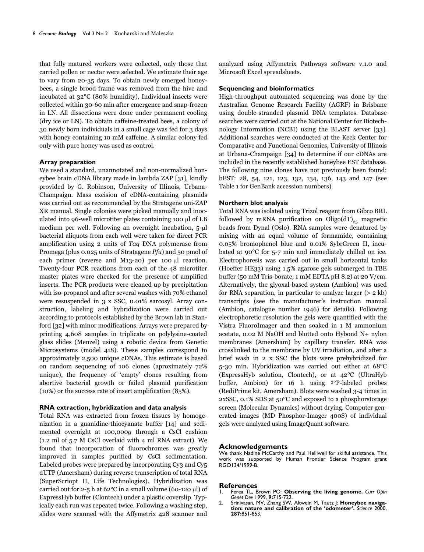that fully matured workers were collected, only those that carried pollen or nectar were selected. We estimate their age to vary from 20-35 days. To obtain newly emerged honeybees, a single brood frame was removed from the hive and incubated at 32°C (80% humidity). Individual insects were collected within 30-60 min after emergence and snap-frozen in LN. All dissections were done under permanent cooling (dry ice or LN). To obtain caffeine-treated bees, a colony of 30 newly born individuals in a small cage was fed for 3 days with honey containing 10 mM caffeine. A similar colony fed only with pure honey was used as control.

## **Array preparation**

We used a standard, unannotated and non-normalized honeybee brain cDNA library made in lambda ZAP [31], kindly provided by G. Robinson, University of Illinois, Urbana-Champaign. Mass excision of cDNA-containing plasmids was carried out as recommended by the Stratagene uni-ZAP XR manual. Single colonies were picked manually and inoculated into  $96$ -well microtiter plates containing 100  $\mu$ l of LB medium per well. Following an overnight incubation, 5-µl bacterial aliquots from each well were taken for direct PCR amplification using 2 units of Taq DNA polymerase from Promega (plus 0.025 units of Stratagene Pfu) and 50 pmol of each primer (reverse and M13-20) per 100  $\mu$ l reaction. Twenty-four PCR reactions from each of the 48 microtiter master plates were checked for the presence of amplified inserts. The PCR products were cleaned up by precipitation with iso-propanol and after several washes with 70% ethanol were resuspended in 3 x SSC, 0.01% sarcosyl. Array construction, labeling and hybridization were carried out according to protocols established by the Brown lab in Stanford [32] with minor modifications. Arrays were prepared by printing 4,608 samples in triplicate on polylysine-coated glass slides (Menzel) using a robotic device from Genetic Microsystems (model 418). These samples correspond to approximately 2,500 unique cDNAs. This estimate is based on random sequencing of 106 clones (aproximately 72% unique), the frequency of 'empty' clones resulting from abortive bacterial growth or failed plasmid purification (10%) or the success rate of insert amplification (85%).

## **RNA extraction, hybridization and data analysis**

Total RNA was extracted from frozen tissues by homogenization in a guanidine-thiocyanate buffer [14] and sedimented overnight at 100,000g through a CsCl cushion (1.2 ml of 5.7 M CsCl overlaid with 4 ml RNA extract). We found that incorporation of fluorochromes was greatly improved in samples purified by CsCl sedimentation. Labeled probes were prepared by incorporating Cy3 and Cy5 dUTP (Amersham) during reverse transcription of total RNA (SuperScriopt II, Life Technologies). Hybridization was carried out for 2-5 h at  $62^{\circ}$ C in a small volume (60-120 µl) of ExpressHyb buffer (Clontech) under a plastic coverslip. Typically each run was repeated twice. Following a washing step, slides were scanned with the Affymetrix 428 scanner and

analyzed using Affymetrix Pathways software v.1.0 and Microsoft Excel spreadsheets.

## **Sequencing and bioinformatics**

High-throughput automated sequencing was done by the Australian Genome Research Facility (AGRF) in Brisbane using double-stranded plasmid DNA templates. Database searches were carried out at the National Center for Biotechnology Information (NCBI) using the BLAST server [33]. Additional searches were conducted at the Keck Center for Comparative and Functional Genomics, University of Illinois at Urbana-Champaign [34] to determine if our cDNAs are included in the recently established honeybee EST database. The following nine clones have not previously been found: bEST: 28, 54, 121, 123, 132, 134, 136, 143 and 147 (see Table 1 for GenBank accession numbers).

## **Northern blot analysis**

Total RNA was isolated using Trizol reagent from Gibco BRL followed by mRNA purification on Oligo( $dT$ )<sub>25</sub> magnetic beads from Dynal (Oslo). RNA samples were denatured by mixing with an equal volume of formamide, containing 0.05% bromophenol blue and 0.01% SybrGreen II, incubated at 90°C for 5-7 min and immediately chilled on ice. Electrophoresis was carried out in small horizontal tanks (Hoeffer HE33) using 1.5% agarose gels submerged in TBE buffer (50 mM Tris-borate, 1 mM EDTA pH 8.2) at 20 V/cm. Alternatively, the glyoxal-based system (Ambion) was used for RNA separation, in particular to analyze larger  $(> 2 \text{ kb})$ transcripts (see the manufacturer's instruction manual (Ambion, catalogue number 1946) for details). Following electrophoretic resolution the gels were quantified with the Vistra FluoroImager and then soaked in 1 M ammonium acetate, 0.02 M NaOH and blotted onto Hybond N+ nylon membranes (Amersham) by capillary transfer. RNA was crosslinked to the membrane by UV irradiation, and after a brief wash in 2 x SSC the blots were prehybridized for 5-30 min. Hybridization was carried out either at 68°C (ExpressHyb solution, Clontech), or at 42°C (UltraHyb buffer, Ambion) for 16 h using 32P-labeled probes (RediPrime kit, Amersham). Blots were washed 3-4 times in 2xSSC, 0.1% SDS at 50°C and exposed to a phosphorstorage screen (Molecular Dynamics) without drying. Computer generated images (MD Phosphor-Imager 400S) of individual gels were analyzed using ImageQuant software.

### **Acknowledgements**

We thank Nadine McCarthy and Paul Helliwell for skilful assistance. This work was supported by Human Frontier Science Program grant RGO134/1999-B.

#### **References**

- 1. Ferea TL, Brown PO: **Observing the living genome.** *Curr Opin Genet Dev* 1999, **9:**715-722.
- 2. Srinivasan, MV, Zhang SW, Altwein M, Tautz J: **Honeybee navigation: nature and calibration of the 'odometer'.** *Science* 2000, **287:**851-853.